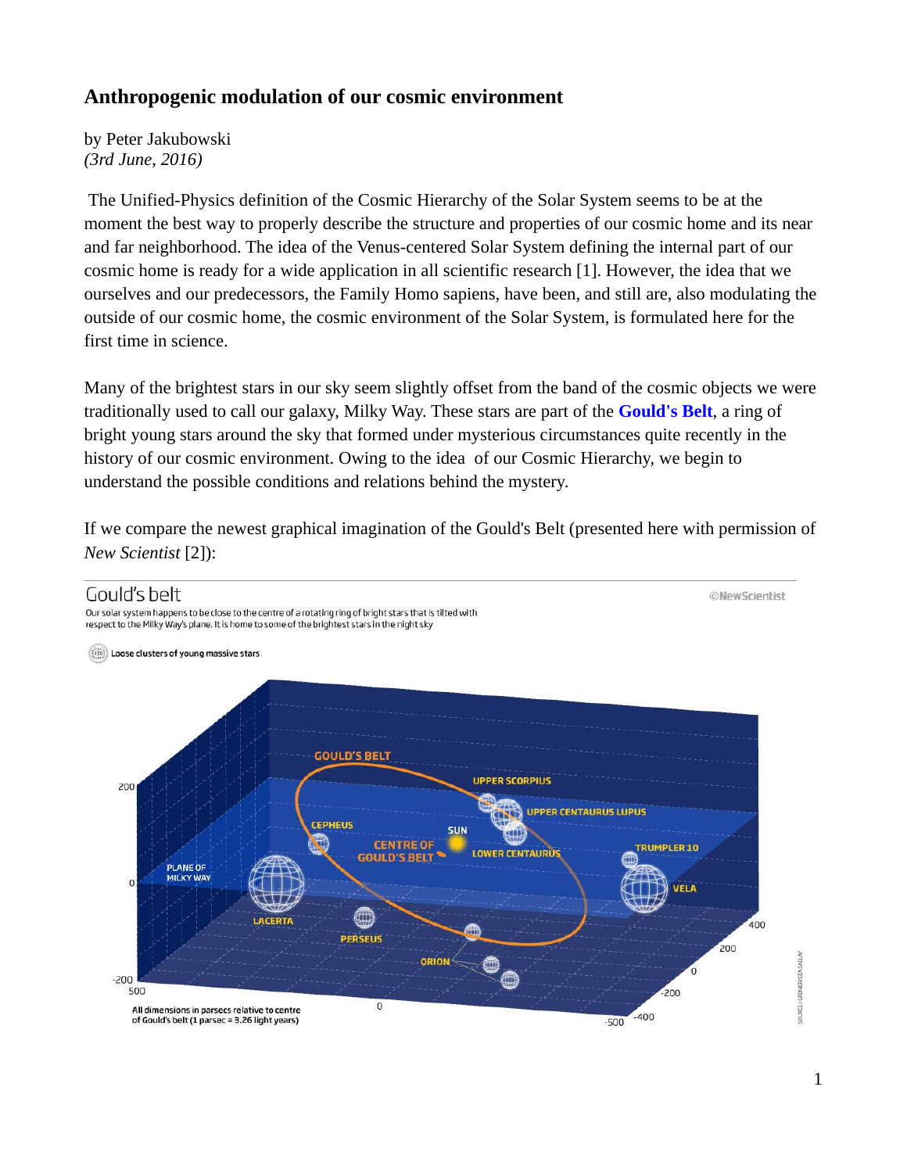## **Anthropogenic modulation of our cosmic environment**

by Peter Jakubowski *(3rd June, 2016)*

 The Unified-Physics definition of the Cosmic Hierarchy of the Solar System seems to be at the moment the best way to properly describe the structure and properties of our cosmic home and its near and far neighborhood. The idea of the Venus-centered Solar System defining the internal part of our cosmic home is ready for a wide application in all scientific research [1]. However, the idea that we ourselves and our predecessors, the Family Homo sapiens, have been, and still are, also modulating the outside of our cosmic home, the cosmic environment of the Solar System, is formulated here for the first time in science.

Many of the brightest stars in our sky seem slightly offset from the band of the cosmic objects we were traditionally used to call our galaxy, Milky Way. These stars are part of the **Gould's Belt**, a ring of bright young stars around the sky that formed under mysterious circumstances quite recently in the history of our cosmic environment. Owing to the idea of our Cosmic Hierarchy, we begin to understand the possible conditions and relations behind the mystery.

If we compare the newest graphical imagination of the Gould's Belt (presented here with permission of *New Scientist* [2]):



1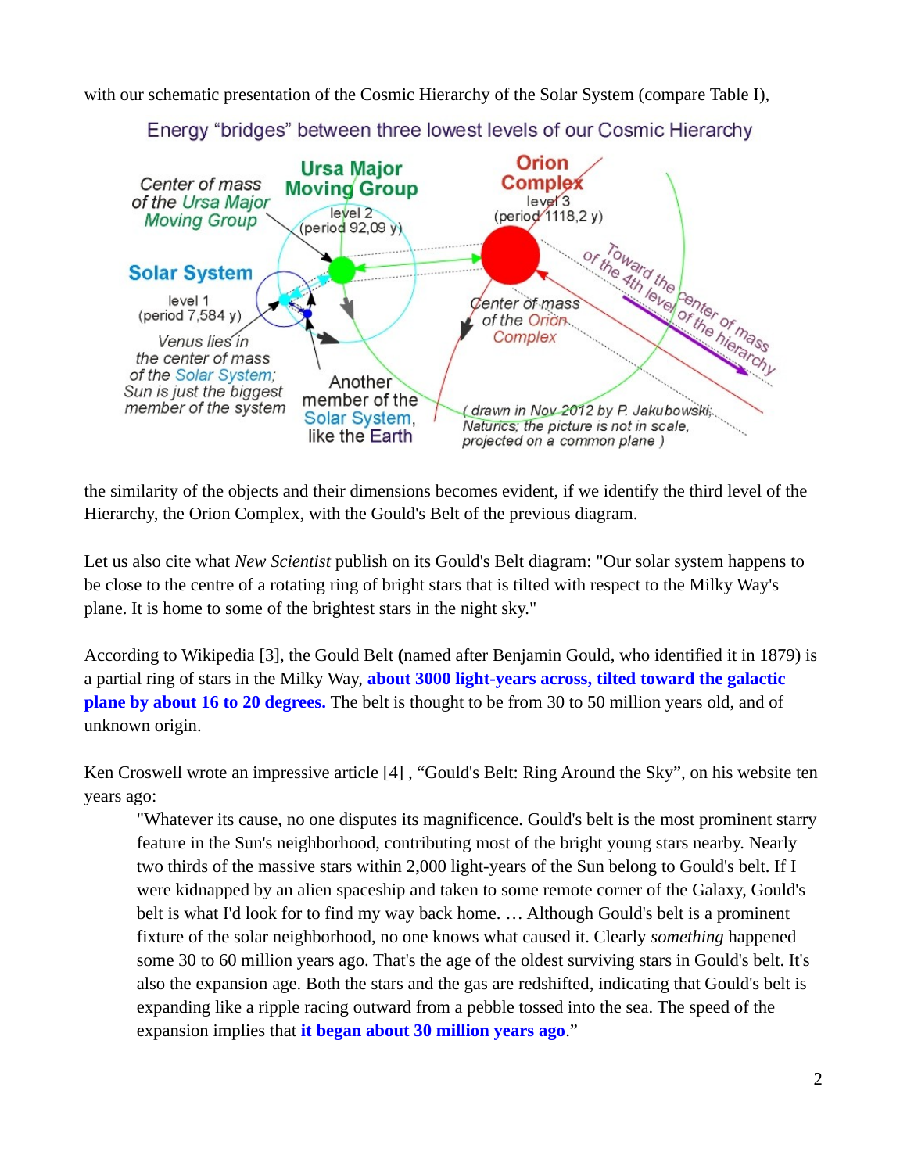with our schematic presentation of the Cosmic Hierarchy of the Solar System (compare Table I),



Energy "bridges" between three lowest levels of our Cosmic Hierarchy

the similarity of the objects and their dimensions becomes evident, if we identify the third level of the Hierarchy, the Orion Complex, with the Gould's Belt of the previous diagram.

Let us also cite what *New Scientist* publish on its Gould's Belt diagram: "Our solar system happens to be close to the centre of a rotating ring of bright stars that is tilted with respect to the Milky Way's plane. It is home to some of the brightest stars in the night sky."

According to Wikipedia [3], the Gould Belt **(**named after Benjamin Gould, who identified it in 1879) is a partial ring of stars in the Milky Way, **about 3000 light-years across, tilted toward the galactic plane by about 16 to 20 degrees.** The belt is thought to be from 30 to 50 million years old, and of unknown origin.

Ken Croswell wrote an impressive article [4] , "Gould's Belt: Ring Around the Sky", on his website ten years ago:

"Whatever its cause, no one disputes its magnificence. Gould's belt is the most prominent starry feature in the Sun's neighborhood, contributing most of the bright young stars nearby. Nearly two thirds of the massive stars within 2,000 light-years of the Sun belong to Gould's belt. If I were kidnapped by an alien spaceship and taken to some remote corner of the Galaxy, Gould's belt is what I'd look for to find my way back home. … Although Gould's belt is a prominent fixture of the solar neighborhood, no one knows what caused it. Clearly *something* happened some 30 to 60 million years ago. That's the age of the oldest surviving stars in Gould's belt. It's also the expansion age. Both the stars and the gas are redshifted, indicating that Gould's belt is expanding like a ripple racing outward from a pebble tossed into the sea. The speed of the expansion implies that **it began about 30 million years ago**."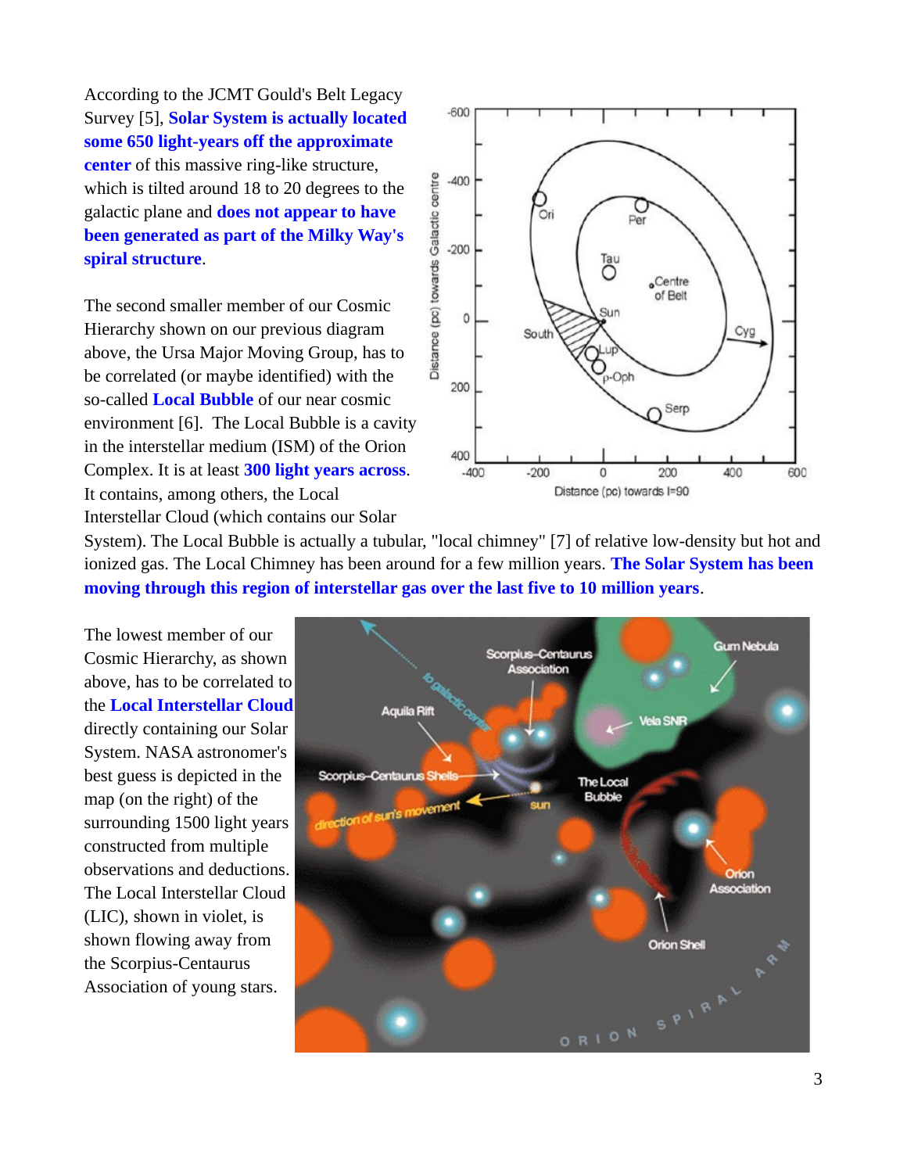According to the JCMT Gould's Belt Legacy Survey [5], **Solar System is actually located some 650 light-years off the approximate center** of this massive ring-like structure, which is tilted around 18 to 20 degrees to the galactic plane and **does not appear to have been generated as part of the Milky Way's spiral structure**.

The second smaller member of our Cosmic Hierarchy shown on our previous diagram above, the Ursa Major Moving Group, has to be correlated (or maybe identified) with the so-called **Local Bubble** of our near cosmic environment [6]. The Local Bubble is a cavity in the interstellar medium (ISM) of the Orion Complex. It is at least **300 light years across**. It contains, among others, the Local Interstellar Cloud (which contains our Solar



System). The Local Bubble is actually a tubular, "local chimney" [7] of relative low-density but hot and ionized gas. The Local Chimney has been around for a few million years. **The Solar System has been moving through this region of interstellar gas over the last five to 10 million years**.

The lowest member of our Cosmic Hierarchy, as shown above, has to be correlated to the **Local Interstellar Cloud** directly containing our Solar System. NASA astronomer's best guess is depicted in the map (on the right) of the surrounding 1500 light years constructed from multiple observations and deductions. The Local Interstellar Cloud (LIC), shown in violet, is shown flowing away from the Scorpius-Centaurus Association of young stars.

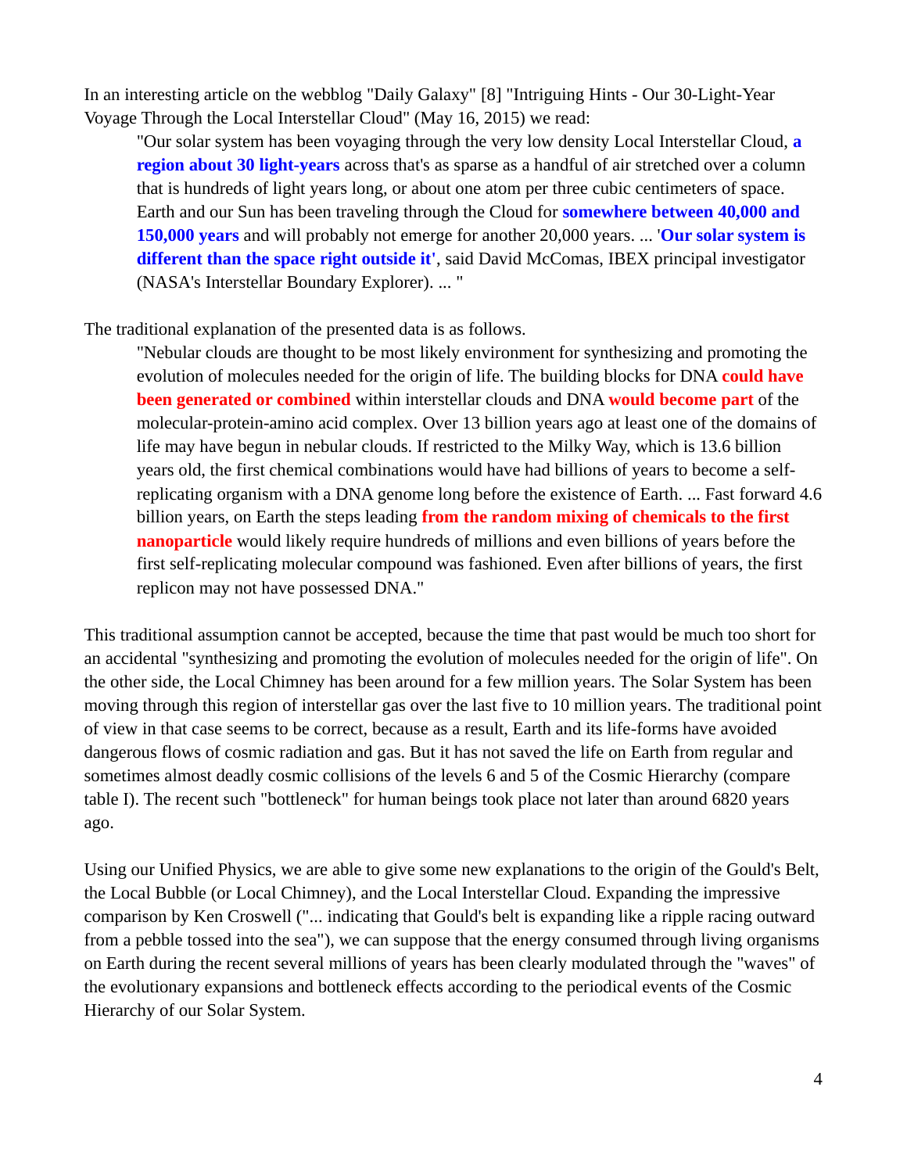In an interesting article on the webblog "Daily Galaxy" [8] "Intriguing Hints - Our 30-Light-Year Voyage Through the Local Interstellar Cloud" (May 16, 2015) we read:

"Our solar system has been voyaging through the very low density Local Interstellar Cloud, **a region about 30 light-years** across that's as sparse as a handful of air stretched over a column that is hundreds of light years long, or about one atom per three cubic centimeters of space. Earth and our Sun has been traveling through the Cloud for **somewhere between 40,000 and 150,000 years** and will probably not emerge for another 20,000 years. ... '**Our solar system is different than the space right outside it'**, said David McComas, IBEX principal investigator (NASA's Interstellar Boundary Explorer). ... "

The traditional explanation of the presented data is as follows.

"Nebular clouds are thought to be most likely environment for synthesizing and promoting the evolution of molecules needed for the origin of life. The building blocks for DNA **could have been generated or combined** within interstellar clouds and DNA **would become part** of the molecular-protein-amino acid complex. Over 13 billion years ago at least one of the domains of life may have begun in nebular clouds. If restricted to the Milky Way, which is 13.6 billion years old, the first chemical combinations would have had billions of years to become a selfreplicating organism with a DNA genome long before the existence of Earth. ... Fast forward 4.6 billion years, on Earth the steps leading **from the random mixing of chemicals to the first nanoparticle** would likely require hundreds of millions and even billions of years before the first self-replicating molecular compound was fashioned. Even after billions of years, the first replicon may not have possessed DNA."

This traditional assumption cannot be accepted, because the time that past would be much too short for an accidental "synthesizing and promoting the evolution of molecules needed for the origin of life". On the other side, the Local Chimney has been around for a few million years. The Solar System has been moving through this region of interstellar gas over the last five to 10 million years. The traditional point of view in that case seems to be correct, because as a result, Earth and its life-forms have avoided dangerous flows of cosmic radiation and gas. But it has not saved the life on Earth from regular and sometimes almost deadly cosmic collisions of the levels 6 and 5 of the Cosmic Hierarchy (compare table I). The recent such "bottleneck" for human beings took place not later than around 6820 years ago.

Using our Unified Physics, we are able to give some new explanations to the origin of the Gould's Belt, the Local Bubble (or Local Chimney), and the Local Interstellar Cloud. Expanding the impressive comparison by Ken Croswell ("... indicating that Gould's belt is expanding like a ripple racing outward from a pebble tossed into the sea"), we can suppose that the energy consumed through living organisms on Earth during the recent several millions of years has been clearly modulated through the "waves" of the evolutionary expansions and bottleneck effects according to the periodical events of the Cosmic Hierarchy of our Solar System.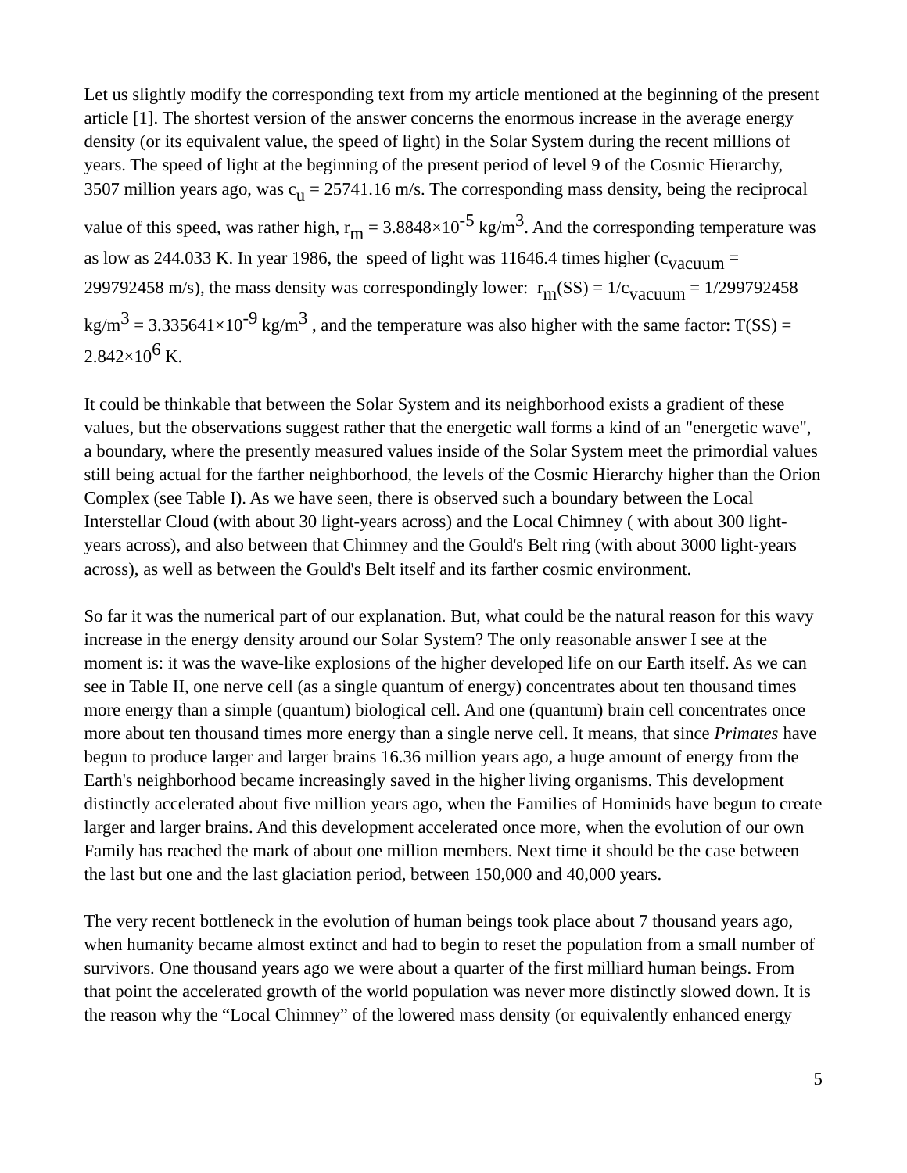Let us slightly modify the corresponding text from my article mentioned at the beginning of the present article [1]. The shortest version of the answer concerns the enormous increase in the average energy density (or its equivalent value, the speed of light) in the Solar System during the recent millions of years. The speed of light at the beginning of the present period of level 9 of the Cosmic Hierarchy, 3507 million years ago, was  $c_{\text{u}}$  = 25741.16 m/s. The corresponding mass density, being the reciprocal value of this speed, was rather high,  $r_m = 3.8848 \times 10^{-5}$  kg/m<sup>3</sup>. And the corresponding temperature was as low as 244.033 K. In year 1986, the speed of light was 11646.4 times higher ( $c_{\text{vacuum}}$  = 299792458 m/s), the mass density was correspondingly lower:  $r_m(SS) = 1/c_{vacuum} = 1/299792458$  $kg/m<sup>3</sup> = 3.335641 \times 10^{-9} kg/m<sup>3</sup>$ , and the temperature was also higher with the same factor: T(SS) =  $2.842\times10^6$  K.

It could be thinkable that between the Solar System and its neighborhood exists a gradient of these values, but the observations suggest rather that the energetic wall forms a kind of an "energetic wave", a boundary, where the presently measured values inside of the Solar System meet the primordial values still being actual for the farther neighborhood, the levels of the Cosmic Hierarchy higher than the Orion Complex (see Table I). As we have seen, there is observed such a boundary between the Local Interstellar Cloud (with about 30 light-years across) and the Local Chimney ( with about 300 lightyears across), and also between that Chimney and the Gould's Belt ring (with about 3000 light-years across), as well as between the Gould's Belt itself and its farther cosmic environment.

So far it was the numerical part of our explanation. But, what could be the natural reason for this wavy increase in the energy density around our Solar System? The only reasonable answer I see at the moment is: it was the wave-like explosions of the higher developed life on our Earth itself. As we can see in Table II, one nerve cell (as a single quantum of energy) concentrates about ten thousand times more energy than a simple (quantum) biological cell. And one (quantum) brain cell concentrates once more about ten thousand times more energy than a single nerve cell. It means, that since *Primates* have begun to produce larger and larger brains 16.36 million years ago, a huge amount of energy from the Earth's neighborhood became increasingly saved in the higher living organisms. This development distinctly accelerated about five million years ago, when the Families of Hominids have begun to create larger and larger brains. And this development accelerated once more, when the evolution of our own Family has reached the mark of about one million members. Next time it should be the case between the last but one and the last glaciation period, between 150,000 and 40,000 years.

The very recent bottleneck in the evolution of human beings took place about 7 thousand years ago, when humanity became almost extinct and had to begin to reset the population from a small number of survivors. One thousand years ago we were about a quarter of the first milliard human beings. From that point the accelerated growth of the world population was never more distinctly slowed down. It is the reason why the "Local Chimney" of the lowered mass density (or equivalently enhanced energy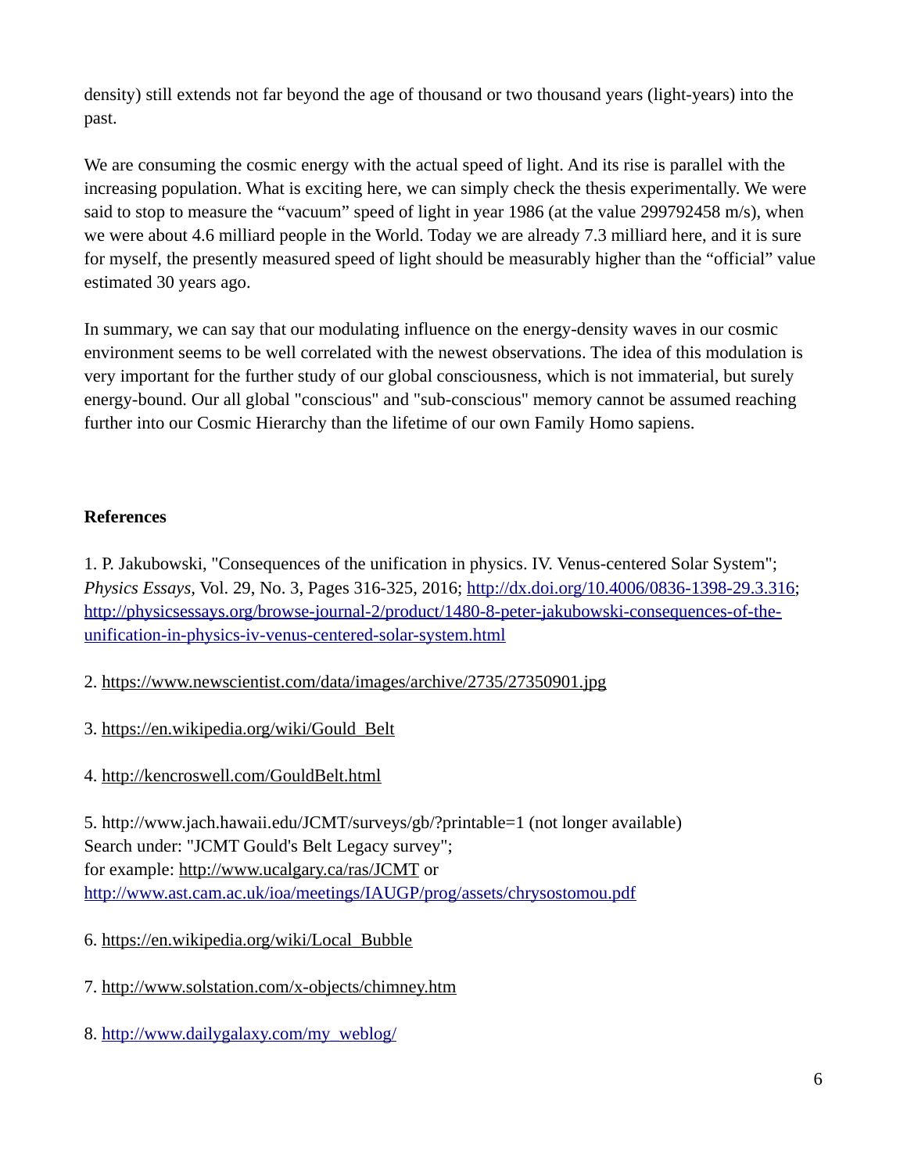density) still extends not far beyond the age of thousand or two thousand years (light-years) into the past.

We are consuming the cosmic energy with the actual speed of light. And its rise is parallel with the increasing population. What is exciting here, we can simply check the thesis experimentally. We were said to stop to measure the "vacuum" speed of light in year 1986 (at the value 299792458 m/s), when we were about 4.6 milliard people in the World. Today we are already 7.3 milliard here, and it is sure for myself, the presently measured speed of light should be measurably higher than the "official" value estimated 30 years ago.

In summary, we can say that our modulating influence on the energy-density waves in our cosmic environment seems to be well correlated with the newest observations. The idea of this modulation is very important for the further study of our global consciousness, which is not immaterial, but surely energy-bound. Our all global "conscious" and "sub-conscious" memory cannot be assumed reaching further into our Cosmic Hierarchy than the lifetime of our own Family Homo sapiens.

## **References**

1. P. Jakubowski, "Consequences of the unification in physics. IV. Venus-centered Solar System"; *Physics Essays,* Vol. 29, No. 3, Pages 316-325, 2016; [http://dx.doi.org/10.4006/0836-1398-29.3.316;](http://dx.doi.org/10.4006/0836-1398-29.3.316) [http://physicsessays.org/browse-journal-2/product/1480-8-peter-jakubowski-consequences-of-the](http://physicsessays.org/browse-journal-2/product/1480-8-peter-jakubowski-consequences-of-the-unification-in-physics-iv-venus-centered-solar-system.html)[unification-in-physics-iv-venus-centered-solar-system.html](http://physicsessays.org/browse-journal-2/product/1480-8-peter-jakubowski-consequences-of-the-unification-in-physics-iv-venus-centered-solar-system.html)

2.<https://www.newscientist.com/data/images/archive/2735/27350901.jpg>

3. [https://en.wikipedia.org/wiki/Gould\\_Belt](https://en.wikipedia.org/wiki/Gould_Belt)

4.<http://kencroswell.com/GouldBelt.html>

5. http://www.jach.hawaii.edu/JCMT/surveys/gb/?printable=1 (not longer available) Search under: "JCMT Gould's Belt Legacy survey"; for example:<http://www.ucalgary.ca/ras/JCMT>or <http://www.ast.cam.ac.uk/ioa/meetings/IAUGP/prog/assets/chrysostomou.pdf>

6. [https://en.wikipedia.org/wiki/Local\\_Bubble](https://en.wikipedia.org/wiki/Local_Bubble)

7.<http://www.solstation.com/x-objects/chimney.htm>

8. [http://www.dailygalaxy.com/my\\_weblog/](http://www.dailygalaxy.com/my_weblog/)